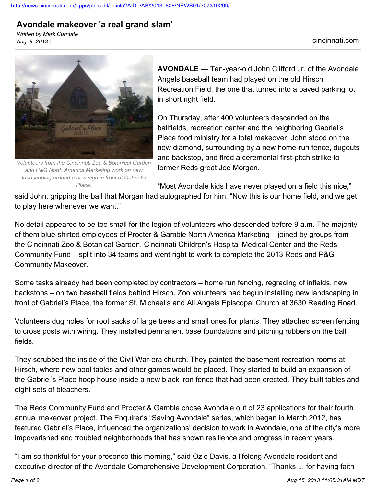## **Avondale makeover 'a real grand slam'**

*Written by Mark Curnutte Aug. 9, 2013 |* cincinnati.com



*Volunteers from the Cincinnati Zoo & Botanical Garden and P&G North America Marketing work on new landscaping around a new sign in front of Gabriel's Place.*

**AVONDALE** — Ten-year-old John Clifford Jr. of the Avondale Angels baseball team had played on the old Hirsch Recreation Field, the one that turned into a paved parking lot in short right field.

On Thursday, after 400 volunteers descended on the ballfields, recreation center and the neighboring Gabriel's Place food ministry for a total makeover, John stood on the new diamond, surrounding by a new home-run fence, dugouts and backstop, and fired a ceremonial first-pitch striike to former Reds great Joe Morgan.

"Most Avondale kids have never played on a field this nice,"

said John, gripping the ball that Morgan had autographed for him. "Now this is our home field, and we get to play here whenever we want."

No detail appeared to be too small for the legion of volunteers who descended before 9 a.m. The majority of them blue-shirted employees of Procter & Gamble North America Marketing – joined by groups from the Cincinnati Zoo & Botanical Garden, Cincinnati Children's Hospital Medical Center and the Reds Community Fund – split into 34 teams and went right to work to complete the 2013 Reds and P&G Community Makeover.

Some tasks already had been completed by contractors – home run fencing, regrading of infields, new backstops – on two baseball fields behind Hirsch. Zoo volunteers had begun installing new landscaping in front of Gabriel's Place, the former St. Michael's and All Angels Episcopal Church at 3630 Reading Road.

Volunteers dug holes for root sacks of large trees and small ones for plants. They attached screen fencing to cross posts with wiring. They installed permanent base foundations and pitching rubbers on the ball fields.

They scrubbed the inside of the Civil War-era church. They painted the basement recreation rooms at Hirsch, where new pool tables and other games would be placed. They started to build an expansion of the Gabriel's Place hoop house inside a new black iron fence that had been erected. They built tables and eight sets of bleachers.

The Reds Community Fund and Procter & Gamble chose Avondale out of 23 applications for their fourth annual makeover project. The Enquirer's "Saving Avondale" series, which began in March 2012, has featured Gabriel's Place, influenced the organizations' decision to work in Avondale, one of the city's more impoverished and troubled neighborhoods that has shown resilience and progress in recent years.

"I am so thankful for your presence this morning," said Ozie Davis, a lifelong Avondale resident and executive director of the Avondale Comprehensive Development Corporation. "Thanks ... for having faith